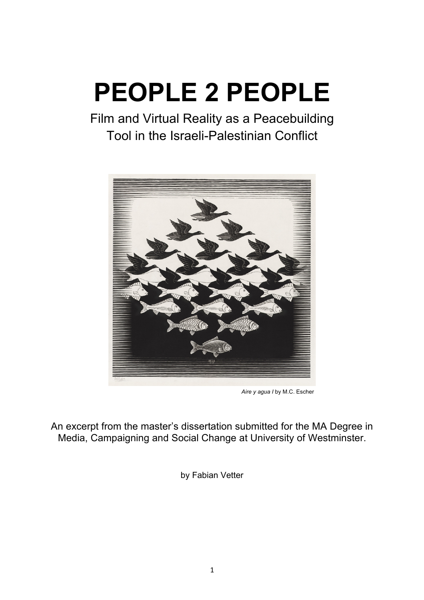# **PEOPLE 2 PEOPLE**

Film and Virtual Reality as a Peacebuilding Tool in the Israeli-Palestinian Conflict



*Aire y agua I* by M.C. Escher

An excerpt from the master's dissertation submitted for the MA Degree in Media, Campaigning and Social Change at University of Westminster.

by Fabian Vetter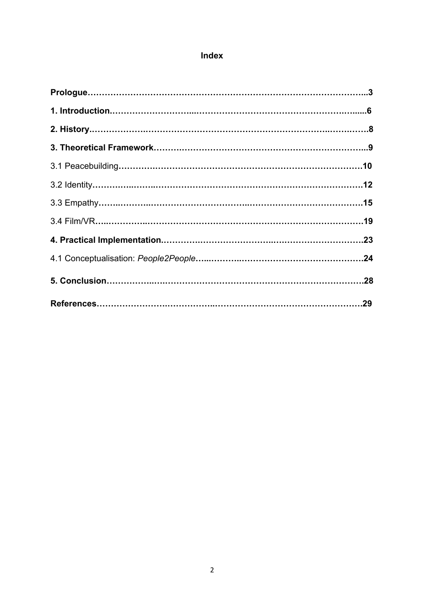## **Index**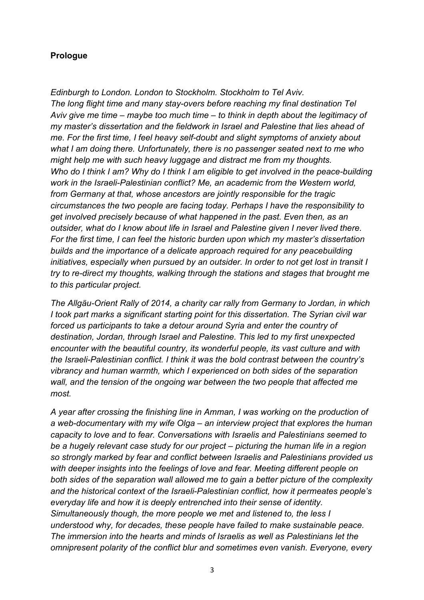### **Prologue**

*Edinburgh to London. London to Stockholm. Stockholm to Tel Aviv. The long flight time and many stay-overs before reaching my final destination Tel Aviv give me time – maybe too much time – to think in depth about the legitimacy of my master's dissertation and the fieldwork in Israel and Palestine that lies ahead of me. For the first time, I feel heavy self-doubt and slight symptoms of anxiety about what I am doing there. Unfortunately, there is no passenger seated next to me who might help me with such heavy luggage and distract me from my thoughts. Who do I think I am? Why do I think I am eligible to get involved in the peace-building work in the Israeli-Palestinian conflict? Me, an academic from the Western world, from Germany at that, whose ancestors are jointly responsible for the tragic circumstances the two people are facing today. Perhaps I have the responsibility to get involved precisely because of what happened in the past. Even then, as an outsider, what do I know about life in Israel and Palestine given I never lived there. For the first time, I can feel the historic burden upon which my master's dissertation builds and the importance of a delicate approach required for any peacebuilding initiatives, especially when pursued by an outsider. In order to not get lost in transit I try to re-direct my thoughts, walking through the stations and stages that brought me to this particular project.* 

*The Allgäu-Orient Rally of 2014, a charity car rally from Germany to Jordan, in which I took part marks a significant starting point for this dissertation. The Syrian civil war forced us participants to take a detour around Syria and enter the country of destination, Jordan, through Israel and Palestine. This led to my first unexpected encounter with the beautiful country, its wonderful people, its vast culture and with the Israeli-Palestinian conflict. I think it was the bold contrast between the country's vibrancy and human warmth, which I experienced on both sides of the separation wall, and the tension of the ongoing war between the two people that affected me most.* 

*A year after crossing the finishing line in Amman, I was working on the production of a web-documentary with my wife Olga – an interview project that explores the human capacity to love and to fear. Conversations with Israelis and Palestinians seemed to be a hugely relevant case study for our project – picturing the human life in a region so strongly marked by fear and conflict between Israelis and Palestinians provided us with deeper insights into the feelings of love and fear. Meeting different people on both sides of the separation wall allowed me to gain a better picture of the complexity and the historical context of the Israeli-Palestinian conflict, how it permeates people's everyday life and how it is deeply entrenched into their sense of identity. Simultaneously though, the more people we met and listened to, the less I understood why, for decades, these people have failed to make sustainable peace. The immersion into the hearts and minds of Israelis as well as Palestinians let the omnipresent polarity of the conflict blur and sometimes even vanish. Everyone, every*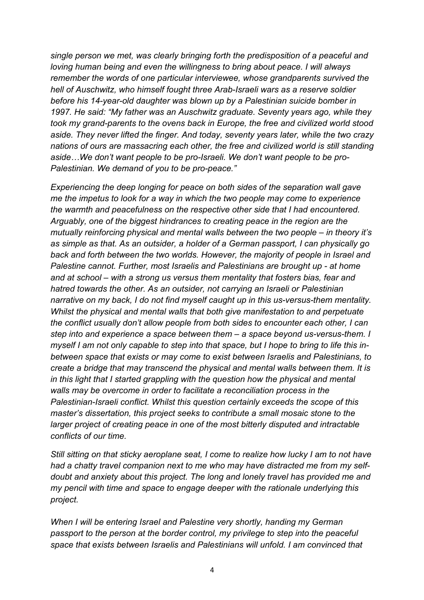*single person we met, was clearly bringing forth the predisposition of a peaceful and loving human being and even the willingness to bring about peace. I will always remember the words of one particular interviewee, whose grandparents survived the hell of Auschwitz, who himself fought three Arab-Israeli wars as a reserve soldier before his 14-year-old daughter was blown up by a Palestinian suicide bomber in 1997. He said: "My father was an Auschwitz graduate. Seventy years ago, while they took my grand-parents to the ovens back in Europe, the free and civilized world stood aside. They never lifted the finger. And today, seventy years later, while the two crazy nations of ours are massacring each other, the free and civilized world is still standing aside…We don't want people to be pro-Israeli. We don't want people to be pro-Palestinian. We demand of you to be pro-peace."* 

*Experiencing the deep longing for peace on both sides of the separation wall gave me the impetus to look for a way in which the two people may come to experience the warmth and peacefulness on the respective other side that I had encountered. Arguably, one of the biggest hindrances to creating peace in the region are the mutually reinforcing physical and mental walls between the two people – in theory it's as simple as that. As an outsider, a holder of a German passport, I can physically go back and forth between the two worlds. However, the majority of people in Israel and Palestine cannot. Further, most Israelis and Palestinians are brought up - at home and at school – with a strong us versus them mentality that fosters bias, fear and hatred towards the other. As an outsider, not carrying an Israeli or Palestinian narrative on my back, I do not find myself caught up in this us-versus-them mentality. Whilst the physical and mental walls that both give manifestation to and perpetuate the conflict usually don't allow people from both sides to encounter each other, I can step into and experience a space between them – a space beyond us-versus-them. I myself I am not only capable to step into that space, but I hope to bring to life this inbetween space that exists or may come to exist between Israelis and Palestinians, to create a bridge that may transcend the physical and mental walls between them. It is in this light that I started grappling with the question how the physical and mental walls may be overcome in order to facilitate a reconciliation process in the Palestinian-Israeli conflict. Whilst this question certainly exceeds the scope of this master's dissertation, this project seeks to contribute a small mosaic stone to the larger project of creating peace in one of the most bitterly disputed and intractable conflicts of our time.* 

*Still sitting on that sticky aeroplane seat, I come to realize how lucky I am to not have had a chatty travel companion next to me who may have distracted me from my selfdoubt and anxiety about this project. The long and lonely travel has provided me and my pencil with time and space to engage deeper with the rationale underlying this project.* 

*When I will be entering Israel and Palestine very shortly, handing my German passport to the person at the border control, my privilege to step into the peaceful space that exists between Israelis and Palestinians will unfold. I am convinced that*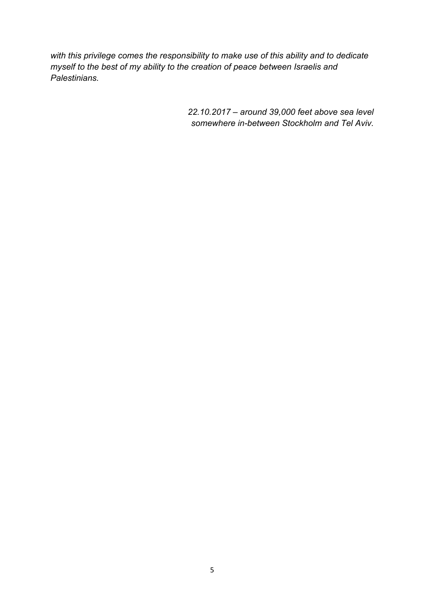*with this privilege comes the responsibility to make use of this ability and to dedicate myself to the best of my ability to the creation of peace between Israelis and Palestinians.* 

> *22.10.2017 – around 39,000 feet above sea level somewhere in-between Stockholm and Tel Aviv.*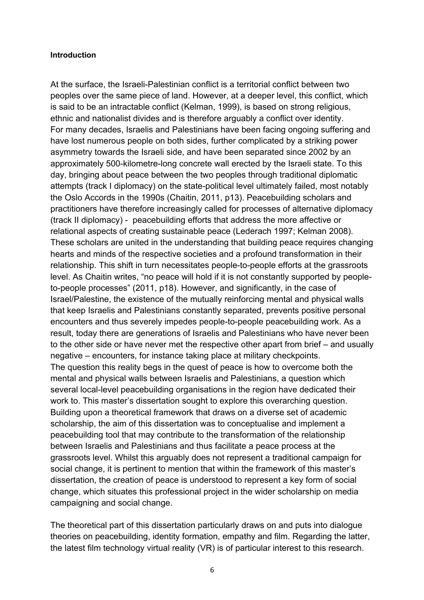#### **Introduction**

At the surface, the Israeli-Palestinian conflict is a territorial conflict between two peoples over the same piece of land. However, at a deeper level, this conflict, which is said to be an intractable conflict (Kelman, 1999), is based on strong religious, ethnic and nationalist divides and is therefore arguably a conflict over identity. For many decades, Israelis and Palestinians have been facing ongoing suffering and have lost numerous people on both sides, further complicated by a striking power asymmetry towards the Israeli side, and have been separated since 2002 by an approximately 500-kilometre-long concrete wall erected by the Israeli state. To this day, bringing about peace between the two peoples through traditional diplomatic attempts (track I diplomacy) on the state-political level ultimately failed, most notably the Oslo Accords in the 1990s (Chaitin, 2011, p13). Peacebuilding scholars and practitioners have therefore increasingly called for processes of alternative diplomacy (track II diplomacy) - peacebuilding efforts that address the more affective or relational aspects of creating sustainable peace (Lederach 1997; Kelman 2008). These scholars are united in the understanding that building peace requires changing hearts and minds of the respective societies and a profound transformation in their relationship. This shift in turn necessitates people-to-people efforts at the grassroots level. As Chaitin writes, "no peace will hold if it is not constantly supported by peopleto-people processes" (2011, p18). However, and significantly, in the case of Israel/Palestine, the existence of the mutually reinforcing mental and physical walls that keep Israelis and Palestinians constantly separated, prevents positive personal encounters and thus severely impedes people-to-people peacebuilding work. As a result, today there are generations of Israelis and Palestinians who have never been to the other side or have never met the respective other apart from brief – and usually negative – encounters, for instance taking place at military checkpoints. The question this reality begs in the quest of peace is how to overcome both the mental and physical walls between Israelis and Palestinians, a question which several local-level peacebuilding organisations in the region have dedicated their work to. This master's dissertation sought to explore this overarching question. Building upon a theoretical framework that draws on a diverse set of academic scholarship, the aim of this dissertation was to conceptualise and implement a peacebuilding tool that may contribute to the transformation of the relationship between Israelis and Palestinians and thus facilitate a peace process at the grassroots level. Whilst this arguably does not represent a traditional campaign for social change, it is pertinent to mention that within the framework of this master's dissertation, the creation of peace is understood to represent a key form of social change, which situates this professional project in the wider scholarship on media campaigning and social change.

The theoretical part of this dissertation particularly draws on and puts into dialogue theories on peacebuilding, identity formation, empathy and film. Regarding the latter, the latest film technology virtual reality (VR) is of particular interest to this research.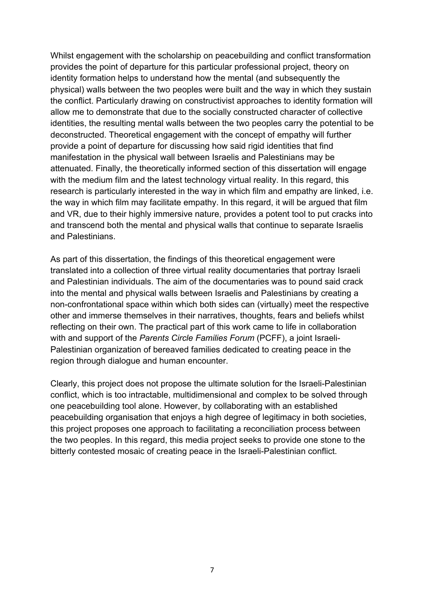Whilst engagement with the scholarship on peacebuilding and conflict transformation provides the point of departure for this particular professional project, theory on identity formation helps to understand how the mental (and subsequently the physical) walls between the two peoples were built and the way in which they sustain the conflict. Particularly drawing on constructivist approaches to identity formation will allow me to demonstrate that due to the socially constructed character of collective identities, the resulting mental walls between the two peoples carry the potential to be deconstructed. Theoretical engagement with the concept of empathy will further provide a point of departure for discussing how said rigid identities that find manifestation in the physical wall between Israelis and Palestinians may be attenuated. Finally, the theoretically informed section of this dissertation will engage with the medium film and the latest technology virtual reality. In this regard, this research is particularly interested in the way in which film and empathy are linked, i.e. the way in which film may facilitate empathy. In this regard, it will be argued that film and VR, due to their highly immersive nature, provides a potent tool to put cracks into and transcend both the mental and physical walls that continue to separate Israelis and Palestinians.

As part of this dissertation, the findings of this theoretical engagement were translated into a collection of three virtual reality documentaries that portray Israeli and Palestinian individuals. The aim of the documentaries was to pound said crack into the mental and physical walls between Israelis and Palestinians by creating a non-confrontational space within which both sides can (virtually) meet the respective other and immerse themselves in their narratives, thoughts, fears and beliefs whilst reflecting on their own. The practical part of this work came to life in collaboration with and support of the *Parents Circle Families Forum* (PCFF), a joint Israeli-Palestinian organization of bereaved families dedicated to creating peace in the region through dialogue and human encounter.

Clearly, this project does not propose the ultimate solution for the Israeli-Palestinian conflict, which is too intractable, multidimensional and complex to be solved through one peacebuilding tool alone. However, by collaborating with an established peacebuilding organisation that enjoys a high degree of legitimacy in both societies, this project proposes one approach to facilitating a reconciliation process between the two peoples. In this regard, this media project seeks to provide one stone to the bitterly contested mosaic of creating peace in the Israeli-Palestinian conflict.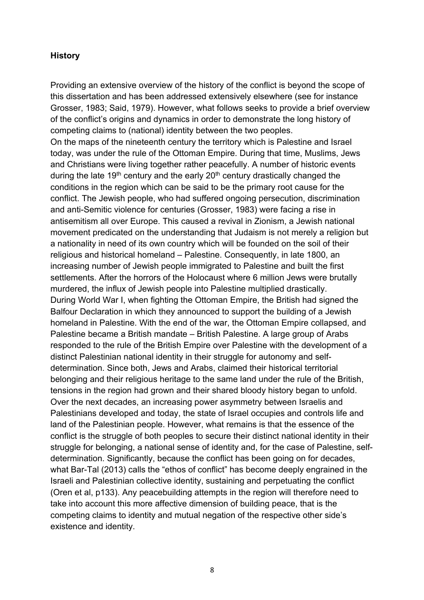#### **History**

Providing an extensive overview of the history of the conflict is beyond the scope of this dissertation and has been addressed extensively elsewhere (see for instance Grosser, 1983; Said, 1979). However, what follows seeks to provide a brief overview of the conflict's origins and dynamics in order to demonstrate the long history of competing claims to (national) identity between the two peoples.

On the maps of the nineteenth century the territory which is Palestine and Israel today, was under the rule of the Ottoman Empire. During that time, Muslims, Jews and Christians were living together rather peacefully. A number of historic events during the late 19<sup>th</sup> century and the early 20<sup>th</sup> century drastically changed the conditions in the region which can be said to be the primary root cause for the conflict. The Jewish people, who had suffered ongoing persecution, discrimination and anti-Semitic violence for centuries (Grosser, 1983) were facing a rise in antisemitism all over Europe. This caused a revival in Zionism, a Jewish national movement predicated on the understanding that Judaism is not merely a religion but a nationality in need of its own country which will be founded on the soil of their religious and historical homeland – Palestine. Consequently, in late 1800, an increasing number of Jewish people immigrated to Palestine and built the first settlements. After the horrors of the Holocaust where 6 million Jews were brutally murdered, the influx of Jewish people into Palestine multiplied drastically. During World War I, when fighting the Ottoman Empire, the British had signed the Balfour Declaration in which they announced to support the building of a Jewish homeland in Palestine. With the end of the war, the Ottoman Empire collapsed, and Palestine became a British mandate – British Palestine. A large group of Arabs responded to the rule of the British Empire over Palestine with the development of a distinct Palestinian national identity in their struggle for autonomy and selfdetermination. Since both, Jews and Arabs, claimed their historical territorial belonging and their religious heritage to the same land under the rule of the British, tensions in the region had grown and their shared bloody history began to unfold. Over the next decades, an increasing power asymmetry between Israelis and Palestinians developed and today, the state of Israel occupies and controls life and land of the Palestinian people. However, what remains is that the essence of the conflict is the struggle of both peoples to secure their distinct national identity in their struggle for belonging, a national sense of identity and, for the case of Palestine, selfdetermination. Significantly, because the conflict has been going on for decades, what Bar-Tal (2013) calls the "ethos of conflict" has become deeply engrained in the Israeli and Palestinian collective identity, sustaining and perpetuating the conflict (Oren et al, p133). Any peacebuilding attempts in the region will therefore need to take into account this more affective dimension of building peace, that is the competing claims to identity and mutual negation of the respective other side's existence and identity.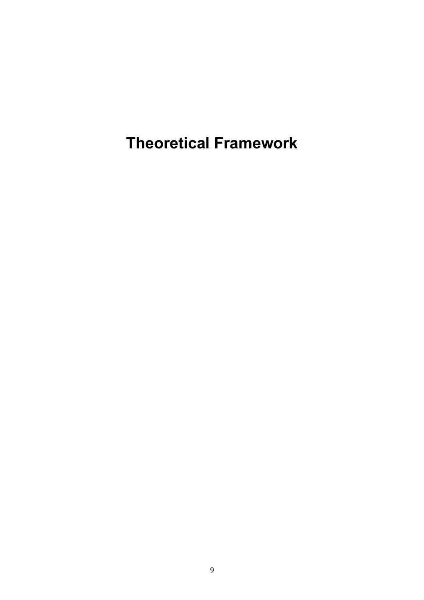**Theoretical Framework**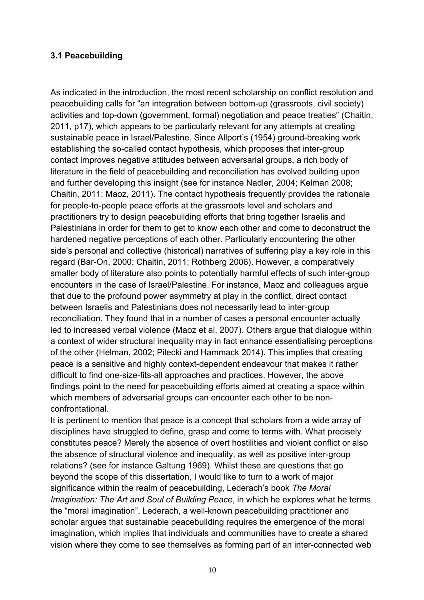#### **3.1 Peacebuilding**

As indicated in the introduction, the most recent scholarship on conflict resolution and peacebuilding calls for "an integration between bottom-up (grassroots, civil society) activities and top-down (government, formal) negotiation and peace treaties" (Chaitin, 2011, p17), which appears to be particularly relevant for any attempts at creating sustainable peace in Israel/Palestine. Since Allport's (1954) ground-breaking work establishing the so-called contact hypothesis, which proposes that inter-group contact improves negative attitudes between adversarial groups, a rich body of literature in the field of peacebuilding and reconciliation has evolved building upon and further developing this insight (see for instance Nadler, 2004; Kelman 2008; Chaitin, 2011; Maoz, 2011). The contact hypothesis frequently provides the rationale for people-to-people peace efforts at the grassroots level and scholars and practitioners try to design peacebuilding efforts that bring together Israelis and Palestinians in order for them to get to know each other and come to deconstruct the hardened negative perceptions of each other. Particularly encountering the other side's personal and collective (historical) narratives of suffering play a key role in this regard (Bar-On, 2000; Chaitin, 2011; Rothberg 2006). However, a comparatively smaller body of literature also points to potentially harmful effects of such inter-group encounters in the case of Israel/Palestine. For instance, Maoz and colleagues argue that due to the profound power asymmetry at play in the conflict, direct contact between Israelis and Palestinians does not necessarily lead to inter-group reconciliation. They found that in a number of cases a personal encounter actually led to increased verbal violence (Maoz et al, 2007). Others argue that dialogue within a context of wider structural inequality may in fact enhance essentialising perceptions of the other (Helman, 2002; Pilecki and Hammack 2014). This implies that creating peace is a sensitive and highly context-dependent endeavour that makes it rather difficult to find one-size-fits-all approaches and practices. However, the above findings point to the need for peacebuilding efforts aimed at creating a space within which members of adversarial groups can encounter each other to be nonconfrontational.

It is pertinent to mention that peace is a concept that scholars from a wide array of disciplines have struggled to define, grasp and come to terms with. What precisely constitutes peace? Merely the absence of overt hostilities and violent conflict or also the absence of structural violence and inequality, as well as positive inter-group relations? (see for instance Galtung 1969). Whilst these are questions that go beyond the scope of this dissertation, I would like to turn to a work of major significance within the realm of peacebuilding, Lederach's book *The Moral Imagination: The Art and Soul of Building Peace*, in which he explores what he terms the "moral imagination". Lederach, a well-known peacebuilding practitioner and scholar argues that sustainable peacebuilding requires the emergence of the moral imagination, which implies that individuals and communities have to create a shared vision where they come to see themselves as forming part of an inter-connected web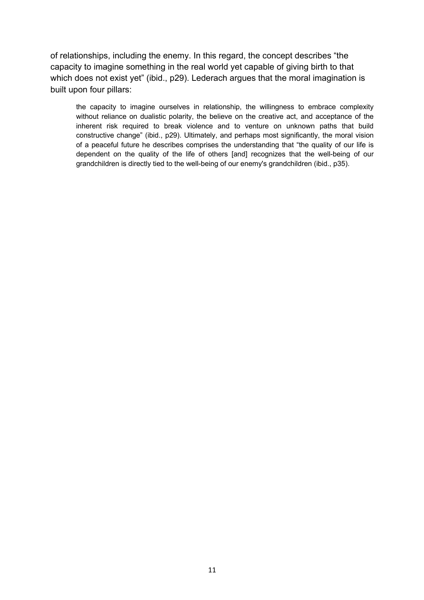of relationships, including the enemy. In this regard, the concept describes "the capacity to imagine something in the real world yet capable of giving birth to that which does not exist yet" (ibid., p29). Lederach argues that the moral imagination is built upon four pillars:

the capacity to imagine ourselves in relationship, the willingness to embrace complexity without reliance on dualistic polarity, the believe on the creative act, and acceptance of the inherent risk required to break violence and to venture on unknown paths that build constructive change" (ibid., p29). Ultimately, and perhaps most significantly, the moral vision of a peaceful future he describes comprises the understanding that "the quality of our life is dependent on the quality of the life of others [and] recognizes that the well-being of our grandchildren is directly tied to the well-being of our enemy's grandchildren (ibid., p35).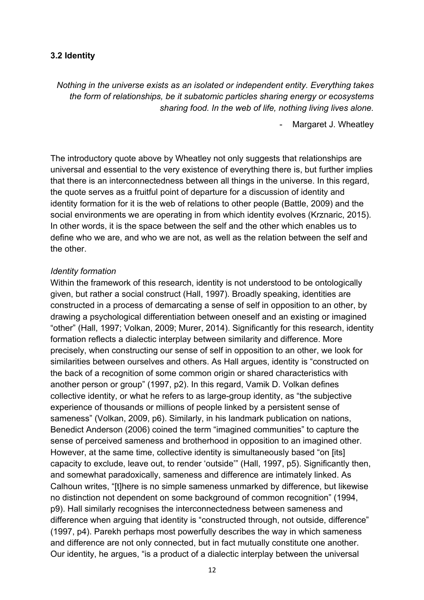#### **3.2 Identity**

*Nothing in the universe exists as an isolated or independent entity. Everything takes the form of relationships, be it subatomic particles sharing energy or ecosystems sharing food. In the web of life, nothing living lives alone.*

Margaret J. Wheatley

The introductory quote above by Wheatley not only suggests that relationships are universal and essential to the very existence of everything there is, but further implies that there is an interconnectedness between all things in the universe. In this regard, the quote serves as a fruitful point of departure for a discussion of identity and identity formation for it is the web of relations to other people (Battle, 2009) and the social environments we are operating in from which identity evolves (Krznaric, 2015). In other words, it is the space between the self and the other which enables us to define who we are, and who we are not, as well as the relation between the self and the other.

#### *Identity formation*

Within the framework of this research, identity is not understood to be ontologically given, but rather a social construct (Hall, 1997). Broadly speaking, identities are constructed in a process of demarcating a sense of self in opposition to an other, by drawing a psychological differentiation between oneself and an existing or imagined "other" (Hall, 1997; Volkan, 2009; Murer, 2014). Significantly for this research, identity formation reflects a dialectic interplay between similarity and difference. More precisely, when constructing our sense of self in opposition to an other, we look for similarities between ourselves and others. As Hall argues, identity is "constructed on the back of a recognition of some common origin or shared characteristics with another person or group" (1997, p2). In this regard, Vamik D. Volkan defines collective identity, or what he refers to as large-group identity, as "the subjective experience of thousands or millions of people linked by a persistent sense of sameness" (Volkan, 2009, p6). Similarly, in his landmark publication on nations, Benedict Anderson (2006) coined the term "imagined communities" to capture the sense of perceived sameness and brotherhood in opposition to an imagined other. However, at the same time, collective identity is simultaneously based "on [its] capacity to exclude, leave out, to render 'outside'" (Hall, 1997, p5). Significantly then, and somewhat paradoxically, sameness and difference are intimately linked. As Calhoun writes, "[t]here is no simple sameness unmarked by difference, but likewise no distinction not dependent on some background of common recognition" (1994, p9). Hall similarly recognises the interconnectedness between sameness and difference when arguing that identity is "constructed through, not outside, difference" (1997, p4). Parekh perhaps most powerfully describes the way in which sameness and difference are not only connected, but in fact mutually constitute one another. Our identity, he argues, "is a product of a dialectic interplay between the universal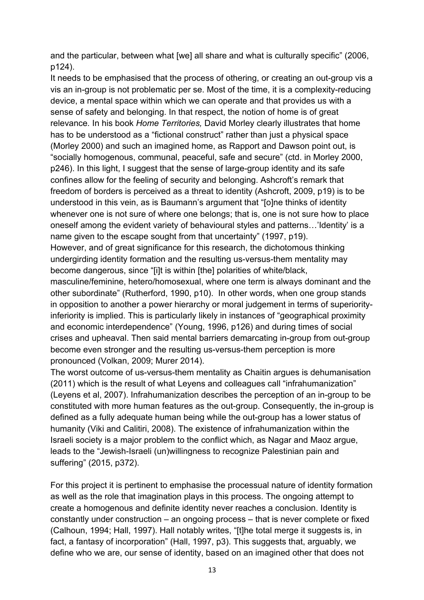and the particular, between what [we] all share and what is culturally specific" (2006, p124).

It needs to be emphasised that the process of othering, or creating an out-group vis a vis an in-group is not problematic per se. Most of the time, it is a complexity-reducing device, a mental space within which we can operate and that provides us with a sense of safety and belonging. In that respect, the notion of home is of great relevance*.* In his book *Home Territories,* David Morley clearly illustrates that home has to be understood as a "fictional construct" rather than just a physical space (Morley 2000) and such an imagined home, as Rapport and Dawson point out, is "socially homogenous, communal, peaceful, safe and secure" (ctd. in Morley 2000, p246). In this light, I suggest that the sense of large-group identity and its safe confines allow for the feeling of security and belonging. Ashcroft's remark that freedom of borders is perceived as a threat to identity (Ashcroft, 2009, p19) is to be understood in this vein, as is Baumann's argument that "[o]ne thinks of identity whenever one is not sure of where one belongs; that is, one is not sure how to place oneself among the evident variety of behavioural styles and patterns…'Identity' is a name given to the escape sought from that uncertainty" (1997, p19).

However, and of great significance for this research, the dichotomous thinking undergirding identity formation and the resulting us-versus-them mentality may become dangerous, since "[i]t is within [the] polarities of white/black,

masculine/feminine, hetero/homosexual, where one term is always dominant and the other subordinate" (Rutherford, 1990, p10). In other words, when one group stands in opposition to another a power hierarchy or moral judgement in terms of superiorityinferiority is implied. This is particularly likely in instances of "geographical proximity and economic interdependence" (Young, 1996, p126) and during times of social crises and upheaval. Then said mental barriers demarcating in-group from out-group become even stronger and the resulting us-versus-them perception is more pronounced (Volkan, 2009; Murer 2014).

The worst outcome of us-versus-them mentality as Chaitin argues is dehumanisation (2011) which is the result of what Leyens and colleagues call "infrahumanization" (Leyens et al, 2007). Infrahumanization describes the perception of an in-group to be constituted with more human features as the out-group. Consequently, the in-group is defined as a fully adequate human being while the out-group has a lower status of humanity (Viki and Calitiri, 2008). The existence of infrahumanization within the Israeli society is a major problem to the conflict which, as Nagar and Maoz argue, leads to the "Jewish-Israeli (un)willingness to recognize Palestinian pain and suffering" (2015, p372).

For this project it is pertinent to emphasise the processual nature of identity formation as well as the role that imagination plays in this process. The ongoing attempt to create a homogenous and definite identity never reaches a conclusion. Identity is constantly under construction – an ongoing process – that is never complete or fixed (Calhoun, 1994; Hall, 1997). Hall notably writes, "[t]he total merge it suggests is, in fact, a fantasy of incorporation" (Hall, 1997, p3). This suggests that, arguably, we define who we are, our sense of identity, based on an imagined other that does not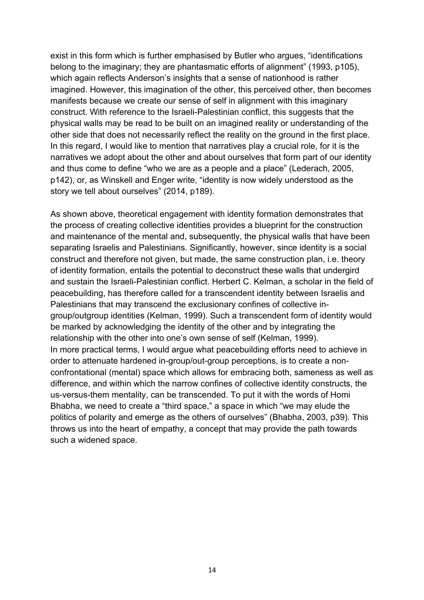exist in this form which is further emphasised by Butler who argues, "identifications belong to the imaginary; they are phantasmatic efforts of alignment" (1993, p105), which again reflects Anderson's insights that a sense of nationhood is rather imagined. However, this imagination of the other, this perceived other, then becomes manifests because we create our sense of self in alignment with this imaginary construct. With reference to the Israeli-Palestinian conflict, this suggests that the physical walls may be read to be built on an imagined reality or understanding of the other side that does not necessarily reflect the reality on the ground in the first place. In this regard, I would like to mention that narratives play a crucial role, for it is the narratives we adopt about the other and about ourselves that form part of our identity and thus come to define "who we are as a people and a place" (Lederach, 2005, p142), or, as Winskell and Enger write, "identity is now widely understood as the story we tell about ourselves" (2014, p189).

As shown above, theoretical engagement with identity formation demonstrates that the process of creating collective identities provides a blueprint for the construction and maintenance of the mental and, subsequently, the physical walls that have been separating Israelis and Palestinians. Significantly, however, since identity is a social construct and therefore not given, but made, the same construction plan, i.e. theory of identity formation, entails the potential to deconstruct these walls that undergird and sustain the Israeli-Palestinian conflict. Herbert C. Kelman, a scholar in the field of peacebuilding, has therefore called for a transcendent identity between Israelis and Palestinians that may transcend the exclusionary confines of collective ingroup/outgroup identities (Kelman, 1999). Such a transcendent form of identity would be marked by acknowledging the identity of the other and by integrating the relationship with the other into one's own sense of self (Kelman, 1999). In more practical terms, I would argue what peacebuilding efforts need to achieve in order to attenuate hardened in-group/out-group perceptions, is to create a nonconfrontational (mental) space which allows for embracing both, sameness as well as difference, and within which the narrow confines of collective identity constructs, the us-versus-them mentality, can be transcended. To put it with the words of Homi Bhabha, we need to create a "third space," a space in which "we may elude the politics of polarity and emerge as the others of ourselves" (Bhabha, 2003, p39). This throws us into the heart of empathy, a concept that may provide the path towards such a widened space.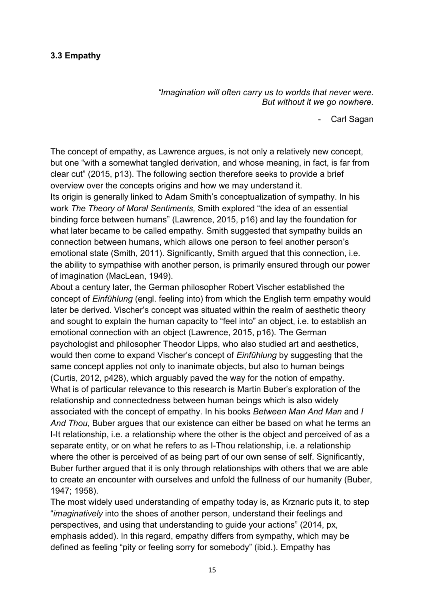#### **3.3 Empathy**

*"Imagination will often carry us to worlds that never were. But without it we go nowhere.*

- Carl Sagan

The concept of empathy, as Lawrence argues, is not only a relatively new concept, but one "with a somewhat tangled derivation, and whose meaning, in fact, is far from clear cut" (2015, p13). The following section therefore seeks to provide a brief overview over the concepts origins and how we may understand it. Its origin is generally linked to Adam Smith's conceptualization of sympathy. In his work *The Theory of Moral Sentiments,* Smith explored "the idea of an essential binding force between humans" (Lawrence, 2015, p16) and lay the foundation for what later became to be called empathy. Smith suggested that sympathy builds an connection between humans, which allows one person to feel another person's emotional state (Smith, 2011). Significantly, Smith argued that this connection, i.e. the ability to sympathise with another person, is primarily ensured through our power of imagination (MacLean, 1949).

About a century later, the German philosopher Robert Vischer established the concept of *Einfühlung* (engl. feeling into) from which the English term empathy would later be derived. Vischer's concept was situated within the realm of aesthetic theory and sought to explain the human capacity to "feel into" an object, i.e. to establish an emotional connection with an object (Lawrence, 2015, p16). The German psychologist and philosopher Theodor Lipps, who also studied art and aesthetics, would then come to expand Vischer's concept of *Einfühlung* by suggesting that the same concept applies not only to inanimate objects, but also to human beings (Curtis, 2012, p428), which arguably paved the way for the notion of empathy. What is of particular relevance to this research is Martin Buber's exploration of the relationship and connectedness between human beings which is also widely associated with the concept of empathy. In his books *Between Man And Man* and *I And Thou*, Buber argues that our existence can either be based on what he terms an I-It relationship, i.e. a relationship where the other is the object and perceived of as a separate entity, or on what he refers to as I-Thou relationship, i.e. a relationship where the other is perceived of as being part of our own sense of self. Significantly, Buber further argued that it is only through relationships with others that we are able to create an encounter with ourselves and unfold the fullness of our humanity (Buber, 1947; 1958).

The most widely used understanding of empathy today is, as Krznaric puts it, to step "*imaginatively* into the shoes of another person, understand their feelings and perspectives, and using that understanding to guide your actions" (2014, px, emphasis added). In this regard, empathy differs from sympathy, which may be defined as feeling "pity or feeling sorry for somebody" (ibid.). Empathy has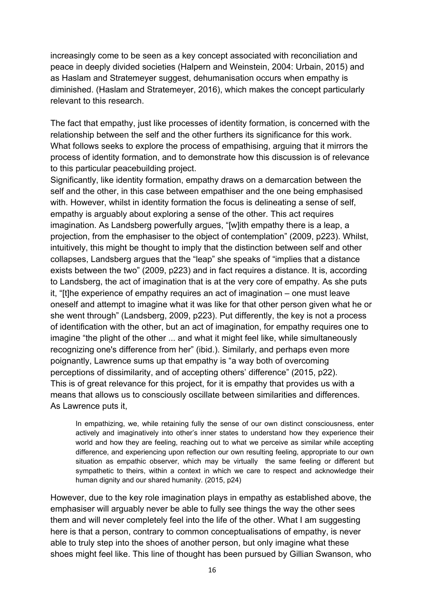increasingly come to be seen as a key concept associated with reconciliation and peace in deeply divided societies (Halpern and Weinstein, 2004: Urbain, 2015) and as Haslam and Stratemeyer suggest, dehumanisation occurs when empathy is diminished. (Haslam and Stratemeyer, 2016), which makes the concept particularly relevant to this research.

The fact that empathy, just like processes of identity formation, is concerned with the relationship between the self and the other furthers its significance for this work. What follows seeks to explore the process of empathising, arguing that it mirrors the process of identity formation, and to demonstrate how this discussion is of relevance to this particular peacebuilding project.

Significantly, like identity formation, empathy draws on a demarcation between the self and the other, in this case between empathiser and the one being emphasised with. However, whilst in identity formation the focus is delineating a sense of self, empathy is arguably about exploring a sense of the other. This act requires imagination. As Landsberg powerfully argues, "[w]ith empathy there is a leap, a projection, from the emphasiser to the object of contemplation" (2009, p223). Whilst, intuitively, this might be thought to imply that the distinction between self and other collapses, Landsberg argues that the "leap" she speaks of "implies that a distance exists between the two" (2009, p223) and in fact requires a distance. It is, according to Landsberg, the act of imagination that is at the very core of empathy. As she puts it, "[t]he experience of empathy requires an act of imagination – one must leave oneself and attempt to imagine what it was like for that other person given what he or she went through" (Landsberg, 2009, p223). Put differently, the key is not a process of identification with the other, but an act of imagination, for empathy requires one to imagine "the plight of the other ... and what it might feel like, while simultaneously recognizing one's difference from her" (ibid.). Similarly, and perhaps even more poignantly, Lawrence sums up that empathy is "a way both of overcoming perceptions of dissimilarity, and of accepting others' difference" (2015, p22). This is of great relevance for this project, for it is empathy that provides us with a means that allows us to consciously oscillate between similarities and differences. As Lawrence puts it,

In empathizing, we, while retaining fully the sense of our own distinct consciousness, enter actively and imaginatively into other's inner states to understand how they experience their world and how they are feeling, reaching out to what we perceive as similar while accepting difference, and experiencing upon reflection our own resulting feeling, appropriate to our own situation as empathic observer, which may be virtually the same feeling or different but sympathetic to theirs, within a context in which we care to respect and acknowledge their human dignity and our shared humanity. (2015, p24)

However, due to the key role imagination plays in empathy as established above, the emphasiser will arguably never be able to fully see things the way the other sees them and will never completely feel into the life of the other. What I am suggesting here is that a person, contrary to common conceptualisations of empathy, is never able to truly step into the shoes of another person, but only imagine what these shoes might feel like. This line of thought has been pursued by Gillian Swanson, who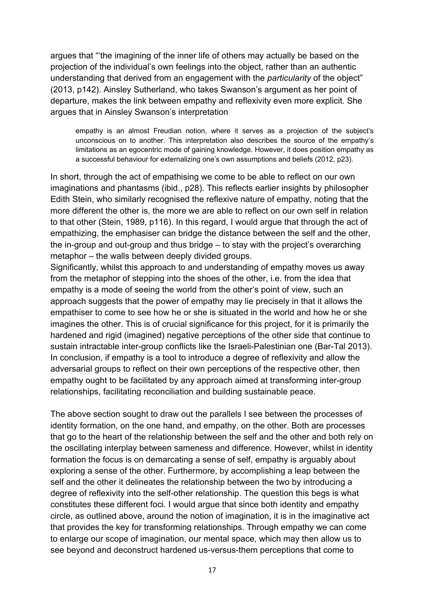argues that "'the imagining of the inner life of others may actually be based on the projection of the individual's own feelings into the object, rather than an authentic understanding that derived from an engagement with the *particularity* of the object" (2013, p142). Ainsley Sutherland, who takes Swanson's argument as her point of departure, makes the link between empathy and reflexivity even more explicit. She argues that in Ainsley Swanson's interpretation

empathy is an almost Freudian notion, where it serves as a projection of the subject's unconscious on to another. This interpretation also describes the source of the empathy's limitations as an egocentric mode of gaining knowledge. However, it does position empathy as a successful behaviour for externalizing one's own assumptions and beliefs (2012, p23).

In short, through the act of empathising we come to be able to reflect on our own imaginations and phantasms (ibid., p28). This reflects earlier insights by philosopher Edith Stein, who similarly recognised the reflexive nature of empathy, noting that the more different the other is, the more we are able to reflect on our own self in relation to that other (Stein, 1989, p116). In this regard, I would argue that through the act of empathizing, the emphasiser can bridge the distance between the self and the other, the in-group and out-group and thus bridge – to stay with the project's overarching metaphor – the walls between deeply divided groups.

Significantly, whilst this approach to and understanding of empathy moves us away from the metaphor of stepping into the shoes of the other, i.e. from the idea that empathy is a mode of seeing the world from the other's point of view, such an approach suggests that the power of empathy may lie precisely in that it allows the empathiser to come to see how he or she is situated in the world and how he or she imagines the other. This is of crucial significance for this project, for it is primarily the hardened and rigid (imagined) negative perceptions of the other side that continue to sustain intractable inter-group conflicts like the Israeli-Palestinian one (Bar-Tal 2013). In conclusion, if empathy is a tool to introduce a degree of reflexivity and allow the adversarial groups to reflect on their own perceptions of the respective other, then empathy ought to be facilitated by any approach aimed at transforming inter-group relationships, facilitating reconciliation and building sustainable peace.

The above section sought to draw out the parallels I see between the processes of identity formation, on the one hand, and empathy, on the other. Both are processes that go to the heart of the relationship between the self and the other and both rely on the oscillating interplay between sameness and difference. However, whilst in identity formation the focus is on demarcating a sense of self, empathy is arguably about exploring a sense of the other. Furthermore, by accomplishing a leap between the self and the other it delineates the relationship between the two by introducing a degree of reflexivity into the self-other relationship. The question this begs is what constitutes these different foci. I would argue that since both identity and empathy circle, as outlined above, around the notion of imagination, it is in the imaginative act that provides the key for transforming relationships. Through empathy we can come to enlarge our scope of imagination, our mental space, which may then allow us to see beyond and deconstruct hardened us-versus-them perceptions that come to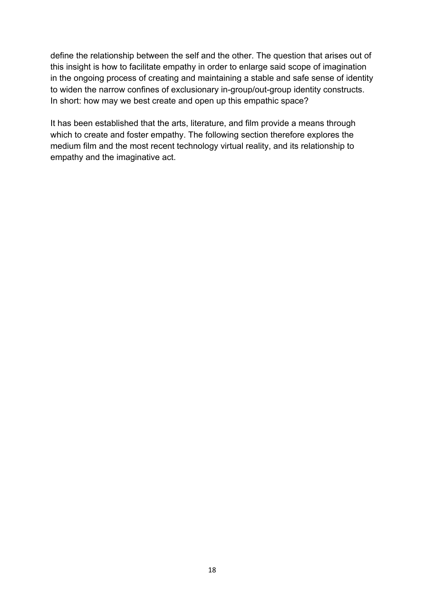define the relationship between the self and the other. The question that arises out of this insight is how to facilitate empathy in order to enlarge said scope of imagination in the ongoing process of creating and maintaining a stable and safe sense of identity to widen the narrow confines of exclusionary in-group/out-group identity constructs. In short: how may we best create and open up this empathic space?

It has been established that the arts, literature, and film provide a means through which to create and foster empathy. The following section therefore explores the medium film and the most recent technology virtual reality, and its relationship to empathy and the imaginative act.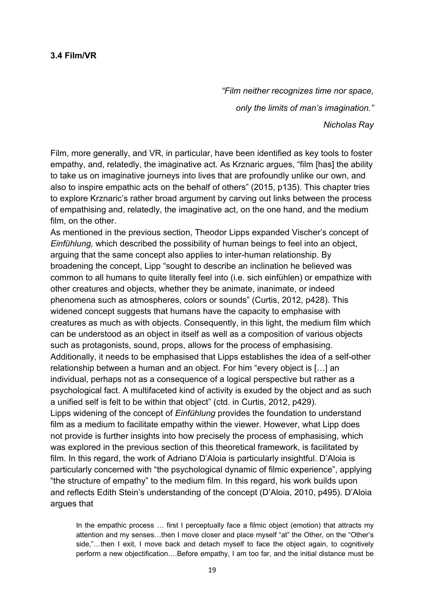#### **3.4 Film/VR**

*"Film neither recognizes time nor space, only the limits of man's imagination." Nicholas Ray*

Film, more generally, and VR, in particular, have been identified as key tools to foster empathy, and, relatedly, the imaginative act. As Krznaric argues, "film [has] the ability to take us on imaginative journeys into lives that are profoundly unlike our own, and also to inspire empathic acts on the behalf of others" (2015, p135). This chapter tries to explore Krznaric's rather broad argument by carving out links between the process of empathising and, relatedly, the imaginative act, on the one hand, and the medium film, on the other.

As mentioned in the previous section, Theodor Lipps expanded Vischer's concept of *Einfühlung,* which described the possibility of human beings to feel into an object, arguing that the same concept also applies to inter-human relationship. By broadening the concept, Lipp "sought to describe an inclination he believed was common to all humans to quite literally feel into (i.e. sich einfühlen) or empathize with other creatures and objects, whether they be animate, inanimate, or indeed phenomena such as atmospheres, colors or sounds" (Curtis, 2012, p428). This widened concept suggests that humans have the capacity to emphasise with creatures as much as with objects. Consequently, in this light, the medium film which can be understood as an object in itself as well as a composition of various objects such as protagonists, sound, props, allows for the process of emphasising. Additionally, it needs to be emphasised that Lipps establishes the idea of a self-other relationship between a human and an object. For him "every object is […] an individual, perhaps not as a consequence of a logical perspective but rather as a psychological fact. A multifaceted kind of activity is exuded by the object and as such a unified self is felt to be within that object" (ctd. in Curtis, 2012, p429). Lipps widening of the concept of *Einfühlung* provides the foundation to understand film as a medium to facilitate empathy within the viewer. However, what Lipp does not provide is further insights into how precisely the process of emphasising, which was explored in the previous section of this theoretical framework, is facilitated by film. In this regard, the work of Adriano D'Aloia is particularly insightful. D'Aloia is particularly concerned with "the psychological dynamic of filmic experience", applying "the structure of empathy" to the medium film. In this regard, his work builds upon and reflects Edith Stein's understanding of the concept (D'Aloia, 2010, p495). D'Aloia argues that

In the empathic process ... first I perceptually face a filmic object (emotion) that attracts my attention and my senses…then I move closer and place myself "at" the Other, on the "Other's side,"...then I exit, I move back and detach myself to face the object again, to cognitively perform a new objectification….Before empathy, I am too far, and the initial distance must be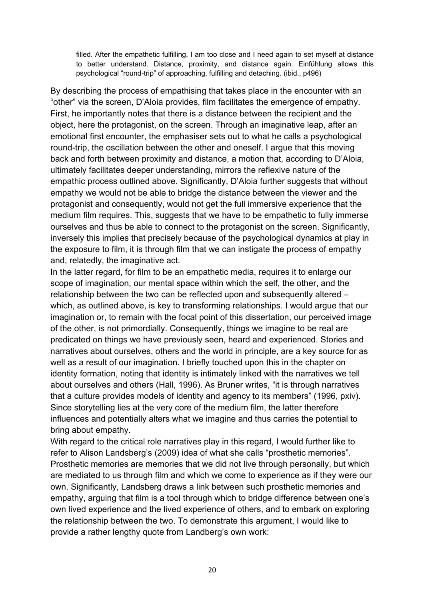filled. After the empathetic fulfilling, I am too close and I need again to set myself at distance to better understand. Distance, proximity, and distance again. Einfühlung allows this psychological "round-trip" of approaching, fulfilling and detaching. (ibid., p496)

By describing the process of empathising that takes place in the encounter with an "other" via the screen, D'Aloia provides, film facilitates the emergence of empathy. First, he importantly notes that there is a distance between the recipient and the object, here the protagonist, on the screen. Through an imaginative leap, after an emotional first encounter, the emphasiser sets out to what he calls a psychological round-trip, the oscillation between the other and oneself. I argue that this moving back and forth between proximity and distance, a motion that, according to D'Aloia, ultimately facilitates deeper understanding, mirrors the reflexive nature of the empathic process outlined above. Significantly, D'Aloia further suggests that without empathy we would not be able to bridge the distance between the viewer and the protagonist and consequently, would not get the full immersive experience that the medium film requires. This, suggests that we have to be empathetic to fully immerse ourselves and thus be able to connect to the protagonist on the screen. Significantly, inversely this implies that precisely because of the psychological dynamics at play in the exposure to film, it is through film that we can instigate the process of empathy and, relatedly, the imaginative act.

In the latter regard, for film to be an empathetic media, requires it to enlarge our scope of imagination, our mental space within which the self, the other, and the relationship between the two can be reflected upon and subsequently altered – which, as outlined above, is key to transforming relationships. I would argue that our imagination or, to remain with the focal point of this dissertation, our perceived image of the other, is not primordially. Consequently, things we imagine to be real are predicated on things we have previously seen, heard and experienced. Stories and narratives about ourselves, others and the world in principle, are a key source for as well as a result of our imagination. I briefly touched upon this in the chapter on identity formation, noting that identity is intimately linked with the narratives we tell about ourselves and others (Hall, 1996). As Bruner writes, "it is through narratives that a culture provides models of identity and agency to its members" (1996, pxiv). Since storytelling lies at the very core of the medium film, the latter therefore influences and potentially alters what we imagine and thus carries the potential to bring about empathy.

With regard to the critical role narratives play in this regard, I would further like to refer to Alison Landsberg's (2009) idea of what she calls "prosthetic memories". Prosthetic memories are memories that we did not live through personally, but which are mediated to us through film and which we come to experience as if they were our own. Significantly, Landsberg draws a link between such prosthetic memories and empathy, arguing that film is a tool through which to bridge difference between one's own lived experience and the lived experience of others, and to embark on exploring the relationship between the two. To demonstrate this argument, I would like to provide a rather lengthy quote from Landberg's own work: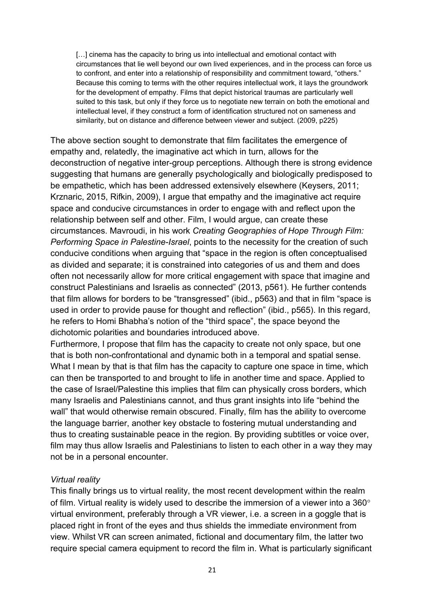[...] cinema has the capacity to bring us into intellectual and emotional contact with circumstances that lie well beyond our own lived experiences, and in the process can force us to confront, and enter into a relationship of responsibility and commitment toward, "others." Because this coming to terms with the other requires intellectual work, it lays the groundwork for the development of empathy. Films that depict historical traumas are particularly well suited to this task, but only if they force us to negotiate new terrain on both the emotional and intellectual level, if they construct a form of identification structured not on sameness and similarity, but on distance and difference between viewer and subject. (2009, p225)

The above section sought to demonstrate that film facilitates the emergence of empathy and, relatedly, the imaginative act which in turn, allows for the deconstruction of negative inter-group perceptions. Although there is strong evidence suggesting that humans are generally psychologically and biologically predisposed to be empathetic, which has been addressed extensively elsewhere (Keysers, 2011; Krznaric, 2015, Rifkin, 2009), I argue that empathy and the imaginative act require space and conducive circumstances in order to engage with and reflect upon the relationship between self and other. Film, I would argue, can create these circumstances. Mavroudi, in his work *Creating Geographies of Hope Through Film: Performing Space in Palestine-Israel*, points to the necessity for the creation of such conducive conditions when arguing that "space in the region is often conceptualised as divided and separate; it is constrained into categories of us and them and does often not necessarily allow for more critical engagement with space that imagine and construct Palestinians and Israelis as connected" (2013, p561). He further contends that film allows for borders to be "transgressed" (ibid., p563) and that in film "space is used in order to provide pause for thought and reflection" (ibid., p565). In this regard, he refers to Homi Bhabha's notion of the "third space", the space beyond the dichotomic polarities and boundaries introduced above.

Furthermore, I propose that film has the capacity to create not only space, but one that is both non-confrontational and dynamic both in a temporal and spatial sense. What I mean by that is that film has the capacity to capture one space in time, which can then be transported to and brought to life in another time and space. Applied to the case of Israel/Palestine this implies that film can physically cross borders, which many Israelis and Palestinians cannot, and thus grant insights into life "behind the wall" that would otherwise remain obscured. Finally, film has the ability to overcome the language barrier, another key obstacle to fostering mutual understanding and thus to creating sustainable peace in the region. By providing subtitles or voice over, film may thus allow Israelis and Palestinians to listen to each other in a way they may not be in a personal encounter.

#### *Virtual reality*

This finally brings us to virtual reality, the most recent development within the realm of film. Virtual reality is widely used to describe the immersion of a viewer into a 360° virtual environment, preferably through a VR viewer, i.e. a screen in a goggle that is placed right in front of the eyes and thus shields the immediate environment from view. Whilst VR can screen animated, fictional and documentary film, the latter two require special camera equipment to record the film in. What is particularly significant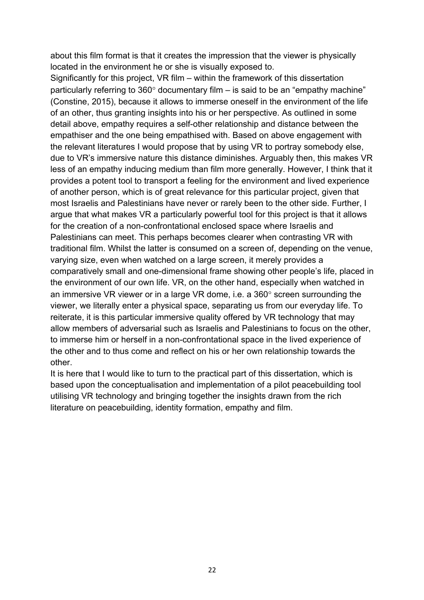about this film format is that it creates the impression that the viewer is physically located in the environment he or she is visually exposed to.

Significantly for this project, VR film – within the framework of this dissertation particularly referring to 360° documentary film – is said to be an "empathy machine" (Constine, 2015), because it allows to immerse oneself in the environment of the life of an other, thus granting insights into his or her perspective. As outlined in some detail above, empathy requires a self-other relationship and distance between the empathiser and the one being empathised with. Based on above engagement with the relevant literatures I would propose that by using VR to portray somebody else, due to VR's immersive nature this distance diminishes. Arguably then, this makes VR less of an empathy inducing medium than film more generally. However, I think that it provides a potent tool to transport a feeling for the environment and lived experience of another person, which is of great relevance for this particular project, given that most Israelis and Palestinians have never or rarely been to the other side. Further, I argue that what makes VR a particularly powerful tool for this project is that it allows for the creation of a non-confrontational enclosed space where Israelis and Palestinians can meet. This perhaps becomes clearer when contrasting VR with traditional film. Whilst the latter is consumed on a screen of, depending on the venue, varying size, even when watched on a large screen, it merely provides a comparatively small and one-dimensional frame showing other people's life, placed in the environment of our own life. VR, on the other hand, especially when watched in an immersive VR viewer or in a large VR dome, i.e. a 360° screen surrounding the viewer, we literally enter a physical space, separating us from our everyday life. To reiterate, it is this particular immersive quality offered by VR technology that may allow members of adversarial such as Israelis and Palestinians to focus on the other, to immerse him or herself in a non-confrontational space in the lived experience of the other and to thus come and reflect on his or her own relationship towards the other.

It is here that I would like to turn to the practical part of this dissertation, which is based upon the conceptualisation and implementation of a pilot peacebuilding tool utilising VR technology and bringing together the insights drawn from the rich literature on peacebuilding, identity formation, empathy and film.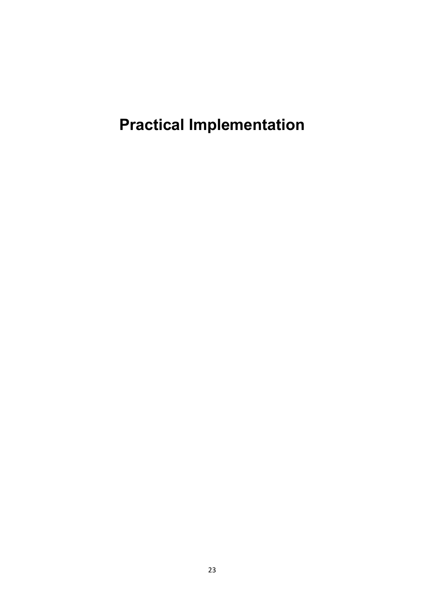**Practical Implementation**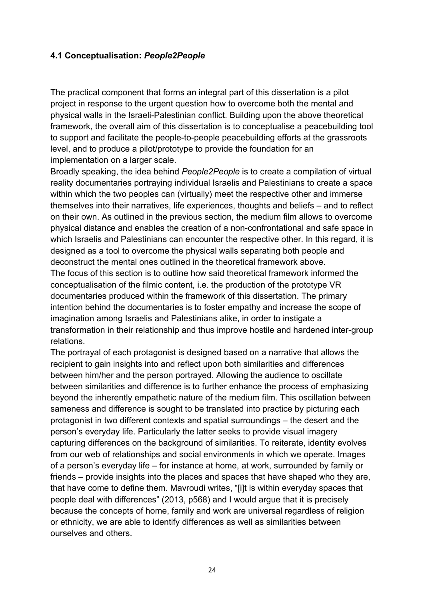#### **4.1 Conceptualisation:** *People2People*

The practical component that forms an integral part of this dissertation is a pilot project in response to the urgent question how to overcome both the mental and physical walls in the Israeli-Palestinian conflict. Building upon the above theoretical framework, the overall aim of this dissertation is to conceptualise a peacebuilding tool to support and facilitate the people-to-people peacebuilding efforts at the grassroots level, and to produce a pilot/prototype to provide the foundation for an implementation on a larger scale.

Broadly speaking, the idea behind *People2People* is to create a compilation of virtual reality documentaries portraying individual Israelis and Palestinians to create a space within which the two peoples can (virtually) meet the respective other and immerse themselves into their narratives, life experiences, thoughts and beliefs – and to reflect on their own. As outlined in the previous section, the medium film allows to overcome physical distance and enables the creation of a non-confrontational and safe space in which Israelis and Palestinians can encounter the respective other. In this regard, it is designed as a tool to overcome the physical walls separating both people and deconstruct the mental ones outlined in the theoretical framework above. The focus of this section is to outline how said theoretical framework informed the conceptualisation of the filmic content, i.e. the production of the prototype VR documentaries produced within the framework of this dissertation. The primary intention behind the documentaries is to foster empathy and increase the scope of imagination among Israelis and Palestinians alike, in order to instigate a

transformation in their relationship and thus improve hostile and hardened inter-group relations.

The portrayal of each protagonist is designed based on a narrative that allows the recipient to gain insights into and reflect upon both similarities and differences between him/her and the person portrayed. Allowing the audience to oscillate between similarities and difference is to further enhance the process of emphasizing beyond the inherently empathetic nature of the medium film. This oscillation between sameness and difference is sought to be translated into practice by picturing each protagonist in two different contexts and spatial surroundings – the desert and the person's everyday life. Particularly the latter seeks to provide visual imagery capturing differences on the background of similarities. To reiterate, identity evolves from our web of relationships and social environments in which we operate. Images of a person's everyday life – for instance at home, at work, surrounded by family or friends – provide insights into the places and spaces that have shaped who they are, that have come to define them. Mavroudi writes, "[i]t is within everyday spaces that people deal with differences" (2013, p568) and I would argue that it is precisely because the concepts of home, family and work are universal regardless of religion or ethnicity, we are able to identify differences as well as similarities between ourselves and others.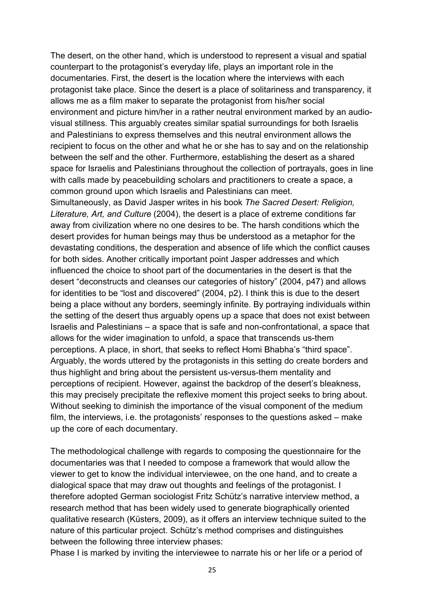The desert, on the other hand, which is understood to represent a visual and spatial counterpart to the protagonist's everyday life, plays an important role in the documentaries. First, the desert is the location where the interviews with each protagonist take place. Since the desert is a place of solitariness and transparency, it allows me as a film maker to separate the protagonist from his/her social environment and picture him/her in a rather neutral environment marked by an audiovisual stillness. This arguably creates similar spatial surroundings for both Israelis and Palestinians to express themselves and this neutral environment allows the recipient to focus on the other and what he or she has to say and on the relationship between the self and the other. Furthermore, establishing the desert as a shared space for Israelis and Palestinians throughout the collection of portrayals, goes in line with calls made by peacebuilding scholars and practitioners to create a space, a common ground upon which Israelis and Palestinians can meet.

Simultaneously, as David Jasper writes in his book *The Sacred Desert: Religion, Literature, Art, and Culture* (2004), the desert is a place of extreme conditions far away from civilization where no one desires to be. The harsh conditions which the desert provides for human beings may thus be understood as a metaphor for the devastating conditions, the desperation and absence of life which the conflict causes for both sides. Another critically important point Jasper addresses and which influenced the choice to shoot part of the documentaries in the desert is that the desert "deconstructs and cleanses our categories of history" (2004, p47) and allows for identities to be "lost and discovered" (2004, p2). I think this is due to the desert being a place without any borders, seemingly infinite. By portraying individuals within the setting of the desert thus arguably opens up a space that does not exist between Israelis and Palestinians – a space that is safe and non-confrontational, a space that allows for the wider imagination to unfold, a space that transcends us-them perceptions. A place, in short, that seeks to reflect Homi Bhabha's "third space". Arguably, the words uttered by the protagonists in this setting do create borders and thus highlight and bring about the persistent us-versus-them mentality and perceptions of recipient. However, against the backdrop of the desert's bleakness, this may precisely precipitate the reflexive moment this project seeks to bring about. Without seeking to diminish the importance of the visual component of the medium film, the interviews, i.e. the protagonists' responses to the questions asked – make up the core of each documentary.

The methodological challenge with regards to composing the questionnaire for the documentaries was that I needed to compose a framework that would allow the viewer to get to know the individual interviewee, on the one hand, and to create a dialogical space that may draw out thoughts and feelings of the protagonist. I therefore adopted German sociologist Fritz Schütz's narrative interview method, a research method that has been widely used to generate biographically oriented qualitative research (Küsters, 2009), as it offers an interview technique suited to the nature of this particular project. Schütz's method comprises and distinguishes between the following three interview phases:

Phase I is marked by inviting the interviewee to narrate his or her life or a period of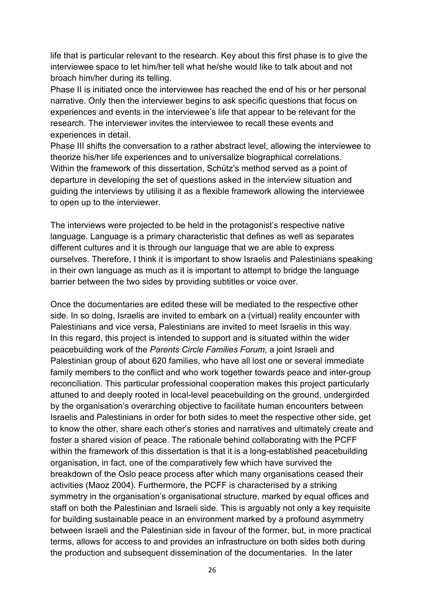life that is particular relevant to the research. Key about this first phase is to give the interviewee space to let him/her tell what he/she would like to talk about and not broach him/her during its telling.

Phase II is initiated once the interviewee has reached the end of his or her personal narrative. Only then the interviewer begins to ask specific questions that focus on experiences and events in the interviewee's life that appear to be relevant for the research. The interviewer invites the interviewee to recall these events and experiences in detail.

Phase III shifts the conversation to a rather abstract level, allowing the interviewee to theorize his/her life experiences and to universalize biographical correlations. Within the framework of this dissertation, Schütz's method served as a point of departure in developing the set of questions asked in the interview situation and guiding the interviews by utilising it as a flexible framework allowing the interviewee to open up to the interviewer.

The interviews were projected to be held in the protagonist's respective native language. Language is a primary characteristic that defines as well as separates different cultures and it is through our language that we are able to express ourselves. Therefore, I think it is important to show Israelis and Palestinians speaking in their own language as much as it is important to attempt to bridge the language barrier between the two sides by providing subtitles or voice over.

Once the documentaries are edited these will be mediated to the respective other side. In so doing, Israelis are invited to embark on a (virtual) reality encounter with Palestinians and vice versa, Palestinians are invited to meet Israelis in this way. In this regard, this project is intended to support and is situated within the wider peacebuilding work of the *Parents Circle Families Forum*, a joint Israeli and Palestinian group of about 620 families, who have all lost one or several immediate family members to the conflict and who work together towards peace and inter-group reconciliation. This particular professional cooperation makes this project particularly attuned to and deeply rooted in local-level peacebuilding on the ground, undergirded by the organisation's overarching objective to facilitate human encounters between Israelis and Palestinians in order for both sides to meet the respective other side, get to know the other, share each other's stories and narratives and ultimately create and foster a shared vision of peace. The rationale behind collaborating with the PCFF within the framework of this dissertation is that it is a long-established peacebuilding organisation, in fact, one of the comparatively few which have survived the breakdown of the Oslo peace process after which many organisations ceased their activities (Maoz 2004). Furthermore, the PCFF is characterised by a striking symmetry in the organisation's organisational structure, marked by equal offices and staff on both the Palestinian and Israeli side. This is arguably not only a key requisite for building sustainable peace in an environment marked by a profound asymmetry between Israeli and the Palestinian side in favour of the former, but, in more practical terms, allows for access to and provides an infrastructure on both sides both during the production and subsequent dissemination of the documentaries. In the later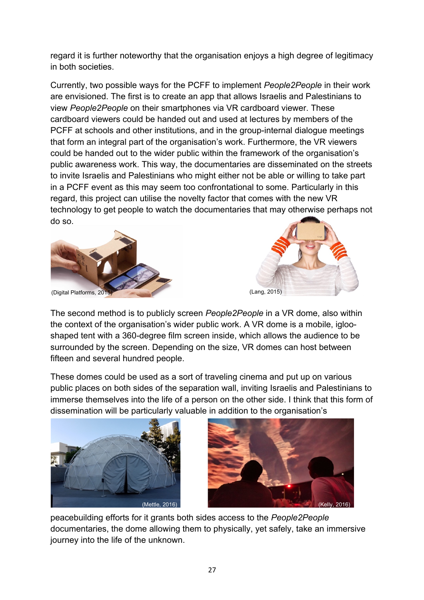regard it is further noteworthy that the organisation enjoys a high degree of legitimacy in both societies.

Currently, two possible ways for the PCFF to implement *People2People* in their work are envisioned. The first is to create an app that allows Israelis and Palestinians to view *People2People* on their smartphones via VR cardboard viewer. These cardboard viewers could be handed out and used at lectures by members of the PCFF at schools and other institutions, and in the group-internal dialogue meetings that form an integral part of the organisation's work. Furthermore, the VR viewers could be handed out to the wider public within the framework of the organisation's public awareness work. This way, the documentaries are disseminated on the streets to invite Israelis and Palestinians who might either not be able or willing to take part in a PCFF event as this may seem too confrontational to some. Particularly in this regard, this project can utilise the novelty factor that comes with the new VR technology to get people to watch the documentaries that may otherwise perhaps not do so.





The second method is to publicly screen *People2People* in a VR dome, also within the context of the organisation's wider public work. A VR dome is a mobile, iglooshaped tent with a 360-degree film screen inside, which allows the audience to be surrounded by the screen. Depending on the size, VR domes can host between fifteen and several hundred people.

These domes could be used as a sort of traveling cinema and put up on various public places on both sides of the separation wall, inviting Israelis and Palestinians to immerse themselves into the life of a person on the other side. I think that this form of dissemination will be particularly valuable in addition to the organisation's





peacebuilding efforts for it grants both sides access to the *People2People* documentaries, the dome allowing them to physically, yet safely, take an immersive journey into the life of the unknown.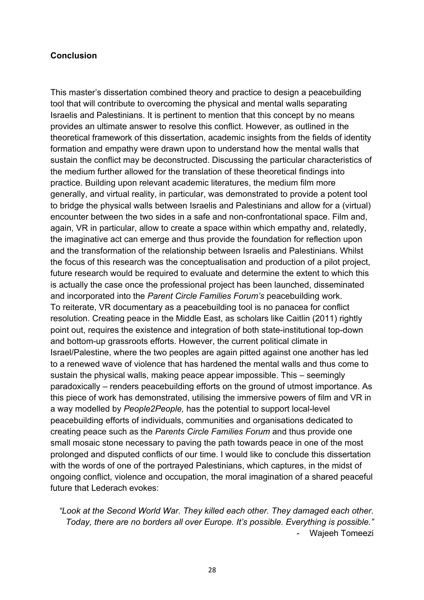#### **Conclusion**

This master's dissertation combined theory and practice to design a peacebuilding tool that will contribute to overcoming the physical and mental walls separating Israelis and Palestinians. It is pertinent to mention that this concept by no means provides an ultimate answer to resolve this conflict. However, as outlined in the theoretical framework of this dissertation, academic insights from the fields of identity formation and empathy were drawn upon to understand how the mental walls that sustain the conflict may be deconstructed. Discussing the particular characteristics of the medium further allowed for the translation of these theoretical findings into practice. Building upon relevant academic literatures, the medium film more generally, and virtual reality, in particular, was demonstrated to provide a potent tool to bridge the physical walls between Israelis and Palestinians and allow for a (virtual) encounter between the two sides in a safe and non-confrontational space. Film and, again, VR in particular, allow to create a space within which empathy and, relatedly, the imaginative act can emerge and thus provide the foundation for reflection upon and the transformation of the relationship between Israelis and Palestinians. Whilst the focus of this research was the conceptualisation and production of a pilot project, future research would be required to evaluate and determine the extent to which this is actually the case once the professional project has been launched, disseminated and incorporated into the *Parent Circle Families Forum's* peacebuilding work. To reiterate, VR documentary as a peacebuilding tool is no panacea for conflict resolution. Creating peace in the Middle East, as scholars like Caitlin (2011) rightly point out, requires the existence and integration of both state-institutional top-down and bottom-up grassroots efforts. However, the current political climate in Israel/Palestine, where the two peoples are again pitted against one another has led to a renewed wave of violence that has hardened the mental walls and thus come to sustain the physical walls, making peace appear impossible. This – seemingly paradoxically – renders peacebuilding efforts on the ground of utmost importance. As this piece of work has demonstrated, utilising the immersive powers of film and VR in a way modelled by *People2People,* has the potential to support local-level peacebuilding efforts of individuals, communities and organisations dedicated to creating peace such as the *Parents Circle Families Forum* and thus provide one small mosaic stone necessary to paving the path towards peace in one of the most prolonged and disputed conflicts of our time. I would like to conclude this dissertation with the words of one of the portrayed Palestinians, which captures, in the midst of ongoing conflict, violence and occupation, the moral imagination of a shared peaceful future that Lederach evokes:

*"Look at the Second World War. They killed each other. They damaged each other. Today, there are no borders all over Europe. It's possible. Everything is possible."* - Wajeeh Tomeezi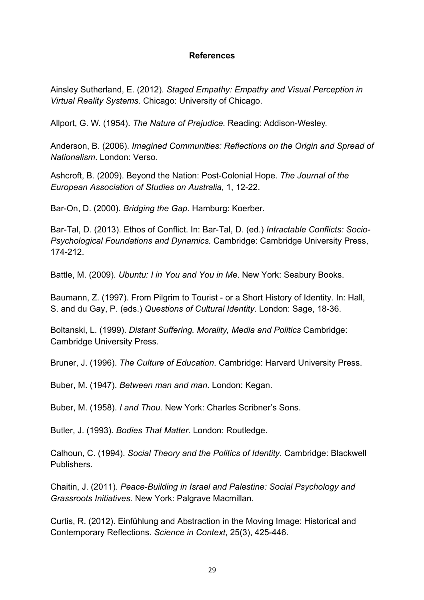#### **References**

Ainsley Sutherland, E. (2012). *Staged Empathy: Empathy and Visual Perception in Virtual Reality Systems.* Chicago: University of Chicago.

Allport, G. W. (1954). *The Nature of Prejudice.* Reading: Addison-Wesley.

Anderson, B. (2006). *Imagined Communities: Reflections on the Origin and Spread of Nationalism*. London: Verso.

Ashcroft, B. (2009). Beyond the Nation: Post-Colonial Hope. *The Journal of the European Association of Studies on Australia*, 1, 12-22.

Bar-On, D. (2000). *Bridging the Gap.* Hamburg: Koerber.

Bar-Tal, D. (2013). Ethos of Conflict. In: Bar-Tal, D. (ed.) *Intractable Conflicts: Socio-Psychological Foundations and Dynamics.* Cambridge: Cambridge University Press, 174-212.

Battle, M. (2009). *Ubuntu: I in You and You in Me*. New York: Seabury Books.

Baumann, Z. (1997). From Pilgrim to Tourist - or a Short History of Identity. In: Hall, S. and du Gay, P. (eds.) *Questions of Cultural Identity*. London: Sage, 18-36.

Boltanski, L. (1999). *Distant Suffering. Morality, Media and Politics* Cambridge: Cambridge University Press.

Bruner, J. (1996). *The Culture of Education*. Cambridge: Harvard University Press.

Buber, M. (1947). *Between man and man.* London: Kegan.

Buber, M. (1958). *I and Thou.* New York: Charles Scribner's Sons.

Butler, J. (1993). *Bodies That Matter*. London: Routledge.

Calhoun, C. (1994). *Social Theory and the Politics of Identity*. Cambridge: Blackwell Publishers.

Chaitin, J. (2011). *Peace-Building in Israel and Palestine: Social Psychology and Grassroots Initiatives.* New York: Palgrave Macmillan.

Curtis, R. (2012). Einfühlung and Abstraction in the Moving Image: Historical and Contemporary Reflections. *Science in Context*, 25(3), 425-446.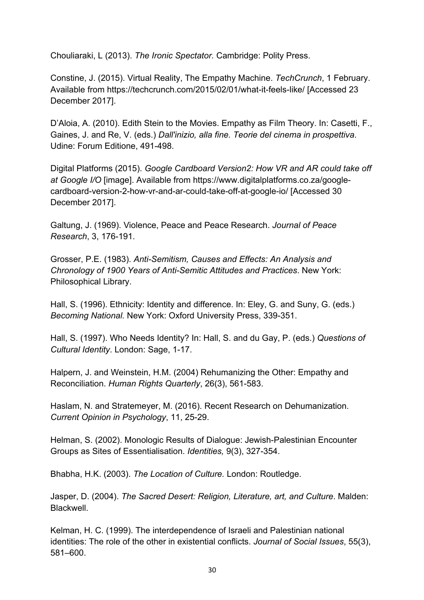Chouliaraki, L (2013). *The Ironic Spectator.* Cambridge: Polity Press.

Constine, J. (2015). Virtual Reality, The Empathy Machine. *TechCrunch*, 1 February. Available from https://techcrunch.com/2015/02/01/what-it-feels-like/ [Accessed 23 December 2017].

D'Aloia, A. (2010). Edith Stein to the Movies. Empathy as Film Theory. In: Casetti, F., Gaines, J. and Re, V. (eds.) *Dall'inizio, alla fine. Teorie del cinema in prospettiva*. Udine: Forum Editione, 491-498.

Digital Platforms (2015). *Google Cardboard Version2: How VR and AR could take off at Google I/O* [image]. Available from https://www.digitalplatforms.co.za/googlecardboard-version-2-how-vr-and-ar-could-take-off-at-google-io/ [Accessed 30 December 2017].

Galtung, J. (1969). Violence, Peace and Peace Research. *Journal of Peace Research*, 3, 176-191.

Grosser, P.E. (1983). *Anti-Semitism, Causes and Effects: An Analysis and Chronology of 1900 Years of Anti-Semitic Attitudes and Practices*. New York: Philosophical Library.

Hall, S. (1996). Ethnicity: Identity and difference. In: Eley, G. and Suny, G. (eds.) *Becoming National.* New York: Oxford University Press, 339-351.

Hall, S. (1997). Who Needs Identity? In: Hall, S. and du Gay, P. (eds.) *Questions of Cultural Identity*. London: Sage, 1-17.

Halpern, J. and Weinstein, H.M. (2004) Rehumanizing the Other: Empathy and Reconciliation. *Human Rights Quarterly*, 26(3), 561-583.

Haslam, N. and Stratemeyer, M. (2016). Recent Research on Dehumanization. *Current Opinion in Psychology*, 11, 25-29.

Helman, S. (2002). Monologic Results of Dialogue: Jewish-Palestinian Encounter Groups as Sites of Essentialisation. *Identities,* 9(3), 327-354.

Bhabha, H.K. (2003). *The Location of Culture.* London: Routledge.

Jasper, D. (2004). *The Sacred Desert: Religion, Literature, art, and Culture*. Malden: Blackwell.

Kelman, H. C. (1999). The interdependence of Israeli and Palestinian national identities: The role of the other in existential conflicts. *Journal of Social Issues*, 55(3), 581–600.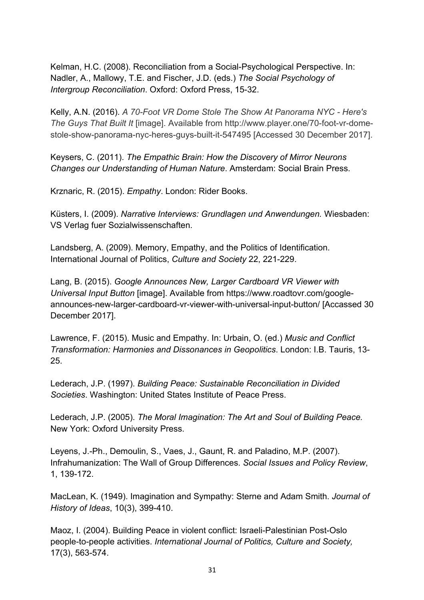Kelman, H.C. (2008). Reconciliation from a Social-Psychological Perspective. In: Nadler, A., Mallowy, T.E. and Fischer, J.D. (eds.) *The Social Psychology of Intergroup Reconciliation*. Oxford: Oxford Press, 15-32.

Kelly, A.N. (2016). *A 70-Foot VR Dome Stole The Show At Panorama NYC - Here's The Guys That Built It* [image]. Available from http://www.player.one/70-foot-vr-domestole-show-panorama-nyc-heres-guys-built-it-547495 [Accessed 30 December 2017].

Keysers, C. (2011). *The Empathic Brain: How the Discovery of Mirror Neurons Changes our Understanding of Human Nature*. Amsterdam: Social Brain Press.

Krznaric, R. (2015). *Empathy*. London: Rider Books.

Küsters, I. (2009). *Narrative Interviews: Grundlagen und Anwendungen.* Wiesbaden: VS Verlag fuer Sozialwissenschaften.

Landsberg, A. (2009). Memory, Empathy, and the Politics of Identification. International Journal of Politics, *Culture and Society* 22, 221-229.

Lang, B. (2015). *Google Announces New, Larger Cardboard VR Viewer with Universal Input Button* [image]. Available from https://www.roadtovr.com/googleannounces-new-larger-cardboard-vr-viewer-with-universal-input-button/ [Accassed 30 December 2017].

Lawrence, F. (2015). Music and Empathy. In: Urbain, O. (ed.) *Music and Conflict Transformation: Harmonies and Dissonances in Geopolitics*. London: I.B. Tauris, 13- 25.

Lederach, J.P. (1997). *Building Peace: Sustainable Reconciliation in Divided Societies*. Washington: United States Institute of Peace Press.

Lederach, J.P. (2005). *The Moral Imagination: The Art and Soul of Building Peace.* New York: Oxford University Press.

Leyens, J.-Ph., Demoulin, S., Vaes, J., Gaunt, R. and Paladino, M.P. (2007). Infrahumanization: The Wall of Group Differences. *Social Issues and Policy Review*, 1, 139-172.

MacLean, K. (1949). Imagination and Sympathy: Sterne and Adam Smith. *Journal of History of Ideas*, 10(3), 399-410.

Maoz, I. (2004). Building Peace in violent conflict: Israeli-Palestinian Post-Oslo people-to-people activities. *International Journal of Politics, Culture and Society,*  17(3), 563-574.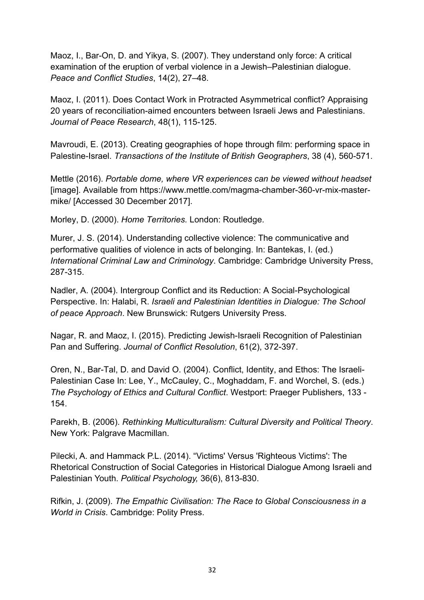Maoz, I., Bar-On, D. and Yikya, S. (2007). They understand only force: A critical examination of the eruption of verbal violence in a Jewish–Palestinian dialogue. *Peace and Conflict Studies*, 14(2), 27–48.

Maoz, I. (2011). Does Contact Work in Protracted Asymmetrical conflict? Appraising 20 years of reconciliation-aimed encounters between Israeli Jews and Palestinians. *Journal of Peace Research*, 48(1), 115-125.

Mavroudi, E. (2013). Creating geographies of hope through film: performing space in Palestine-Israel. *Transactions of the Institute of British Geographers*, 38 (4), 560-571.

Mettle (2016). *Portable dome, where VR experiences can be viewed without headset* [image]. Available from https://www.mettle.com/magma-chamber-360-vr-mix-mastermike/ [Accessed 30 December 2017].

Morley, D. (2000). *Home Territories.* London: Routledge.

Murer, J. S. (2014). Understanding collective violence: The communicative and performative qualities of violence in acts of belonging. In: Bantekas, I. (ed.) *International Criminal Law and Criminology*. Cambridge: Cambridge University Press, 287-315.

Nadler, A. (2004). Intergroup Conflict and its Reduction: A Social-Psychological Perspective. In: Halabi, R. *Israeli and Palestinian Identities in Dialogue: The School of peace Approach*. New Brunswick: Rutgers University Press.

Nagar, R. and Maoz, I. (2015). Predicting Jewish-Israeli Recognition of Palestinian Pan and Suffering. *Journal of Conflict Resolution*, 61(2), 372-397.

Oren, N., Bar-Tal, D. and David O. (2004). Conflict, Identity, and Ethos: The Israeli-Palestinian Case In: Lee, Y., McCauley, C., Moghaddam, F. and Worchel, S. (eds.) *The Psychology of Ethics and Cultural Conflict*. Westport: Praeger Publishers, 133 - 154.

Parekh, B. (2006). *Rethinking Multiculturalism: Cultural Diversity and Political Theory*. New York: Palgrave Macmillan.

Pilecki, A. and Hammack P.L. (2014). "Victims' Versus 'Righteous Victims': The Rhetorical Construction of Social Categories in Historical Dialogue Among Israeli and Palestinian Youth. *Political Psychology,* 36(6), 813-830.

Rifkin, J. (2009). *The Empathic Civilisation: The Race to Global Consciousness in a World in Crisis*. Cambridge: Polity Press.